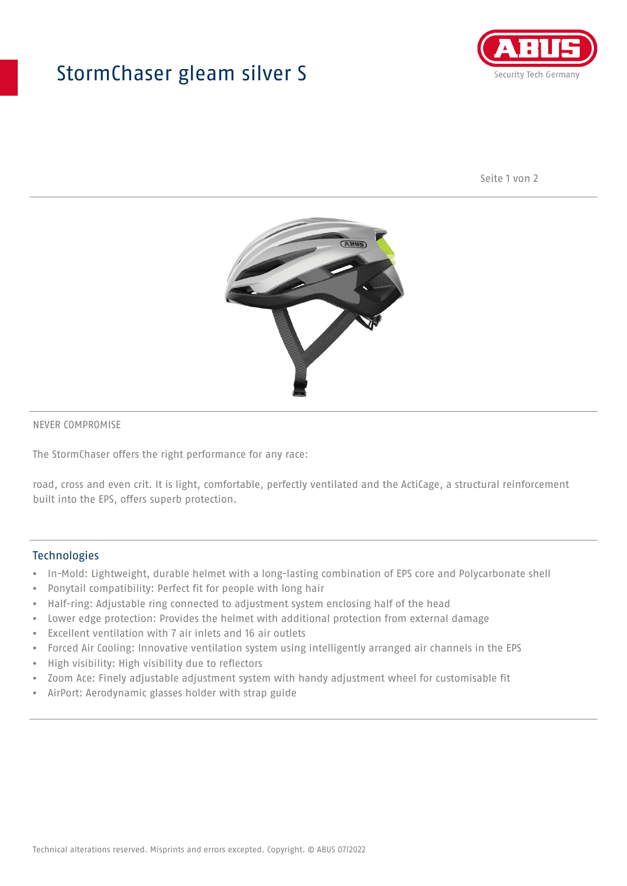## StormChaser gleam silver S



Seite 1 von 2



#### NEVER COMPROMISE

The StormChaser offers the right performance for any race:

road, cross and even crit. It is light, comfortable, perfectly ventilated and the ActiCage, a structural reinforcement built into the EPS, offers superb protection.

#### **Technologies**

- In-Mold: Lightweight, durable helmet with a long-lasting combination of EPS core and Polycarbonate shell
- Ponytail compatibility: Perfect fit for people with long hair
- Half-ring: Adjustable ring connected to adjustment system enclosing half of the head
- Lower edge protection: Provides the helmet with additional protection from external damage
- Excellent ventilation with 7 air inlets and 16 air outlets
- Forced Air Cooling: Innovative ventilation system using intelligently arranged air channels in the EPS
- High visibility: High visibility due to reflectors
- Zoom Ace: Finely adjustable adjustment system with handy adjustment wheel for customisable fit
- AirPort: Aerodynamic glasses holder with strap guide